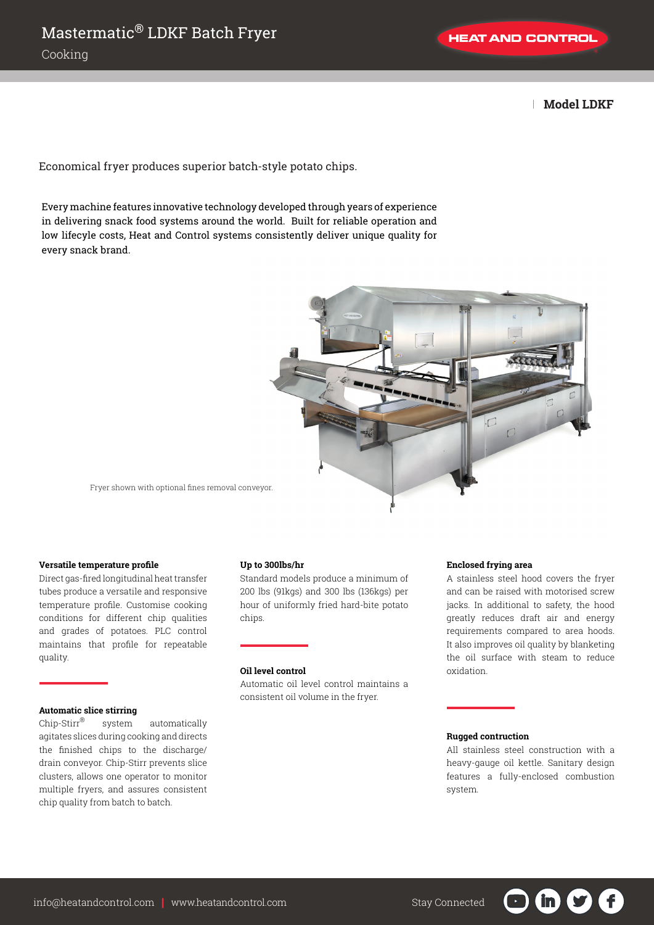| **Model LDKF**

Economical fryer produces superior batch-style potato chips.

Every machine features innovative technology developed through years of experience in delivering snack food systems around the world. Built for reliable operation and low lifecyle costs, Heat and Control systems consistently deliver unique quality for every snack brand.



Fryer shown with optional fines removal conveyor.

## **Versatile temperature profile**

Direct gas-fired longitudinal heat transfer tubes produce a versatile and responsive temperature profile. Customise cooking conditions for different chip qualities and grades of potatoes. PLC control maintains that profile for repeatable quality.

## **Automatic slice stirring**

Chip-Stirr® system automatically agitates slices during cooking and directs the finished chips to the discharge/ drain conveyor. Chip-Stirr prevents slice clusters, allows one operator to monitor multiple fryers, and assures consistent chip quality from batch to batch.

### **Up to 300lbs/hr**

Standard models produce a minimum of 200 lbs (91kgs) and 300 lbs (136kgs) per hour of uniformly fried hard-bite potato chips.

## **Oil level control**

Automatic oil level control maintains a consistent oil volume in the fryer.

#### **Enclosed frying area**

A stainless steel hood covers the fryer and can be raised with motorised screw jacks. In additional to safety, the hood greatly reduces draft air and energy requirements compared to area hoods. It also improves oil quality by blanketing the oil surface with steam to reduce oxidation.

#### **Rugged contruction**

All stainless steel construction with a heavy-gauge oil kettle. Sanitary design features a fully-enclosed combustion system.

in.